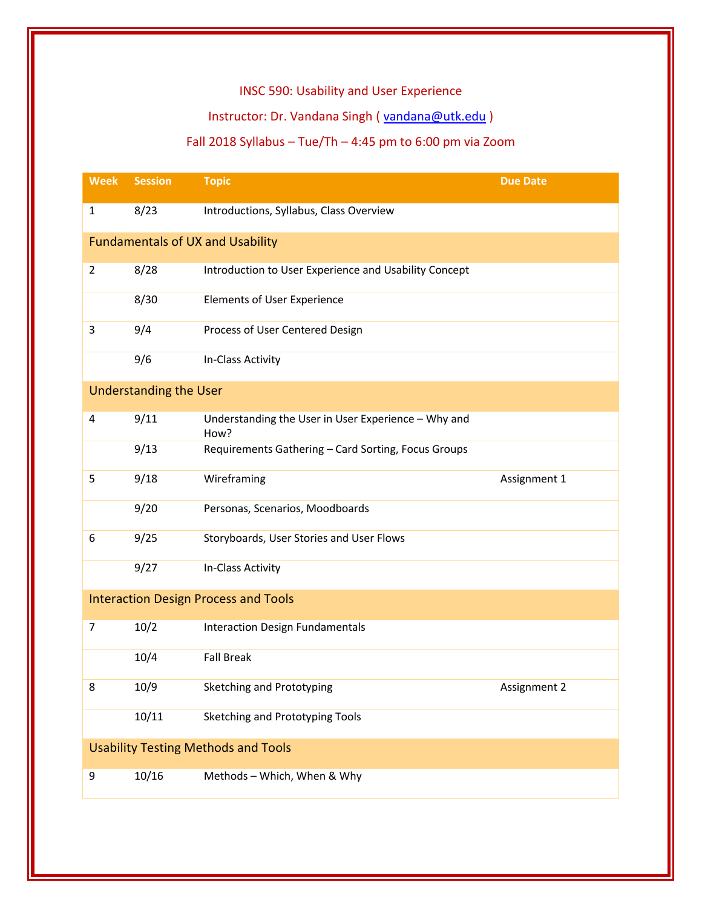## INSC 590: Usability and User Experience

# Instructor: Dr. Vandana Singh ( [vandana@utk.edu](mailto:vandana@utk.edu) )

# Fall 2018 Syllabus – Tue/Th – 4:45 pm to 6:00 pm via Zoom

| <b>Week</b>                                 | <b>Session</b> | <b>Topic</b>                                                | <b>Due Date</b> |  |  |
|---------------------------------------------|----------------|-------------------------------------------------------------|-----------------|--|--|
| $\mathbf{1}$                                | 8/23           | Introductions, Syllabus, Class Overview                     |                 |  |  |
| <b>Fundamentals of UX and Usability</b>     |                |                                                             |                 |  |  |
| $\overline{2}$                              | 8/28           | Introduction to User Experience and Usability Concept       |                 |  |  |
|                                             | 8/30           | <b>Elements of User Experience</b>                          |                 |  |  |
| 3                                           | 9/4            | Process of User Centered Design                             |                 |  |  |
|                                             | 9/6            | In-Class Activity                                           |                 |  |  |
| <b>Understanding the User</b>               |                |                                                             |                 |  |  |
| 4                                           | 9/11           | Understanding the User in User Experience - Why and<br>How? |                 |  |  |
|                                             | 9/13           | Requirements Gathering - Card Sorting, Focus Groups         |                 |  |  |
| 5                                           | 9/18           | Wireframing                                                 | Assignment 1    |  |  |
|                                             | 9/20           | Personas, Scenarios, Moodboards                             |                 |  |  |
| 6                                           | 9/25           | Storyboards, User Stories and User Flows                    |                 |  |  |
|                                             | 9/27           | In-Class Activity                                           |                 |  |  |
| <b>Interaction Design Process and Tools</b> |                |                                                             |                 |  |  |
| 7                                           | 10/2           | <b>Interaction Design Fundamentals</b>                      |                 |  |  |
|                                             | 10/4           | <b>Fall Break</b>                                           |                 |  |  |
| 8                                           | 10/9           | Sketching and Prototyping                                   | Assignment 2    |  |  |
|                                             | 10/11          | Sketching and Prototyping Tools                             |                 |  |  |
| <b>Usability Testing Methods and Tools</b>  |                |                                                             |                 |  |  |
| 9                                           | 10/16          | Methods - Which, When & Why                                 |                 |  |  |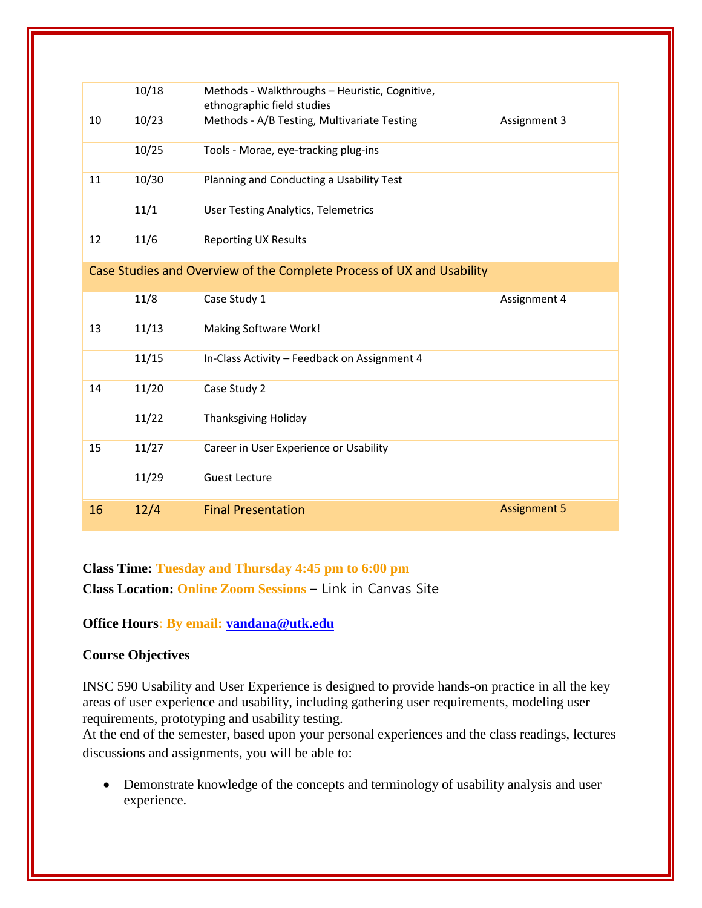|                                                                       | 10/18 | Methods - Walkthroughs - Heuristic, Cognitive,<br>ethnographic field studies |                     |  |  |
|-----------------------------------------------------------------------|-------|------------------------------------------------------------------------------|---------------------|--|--|
| 10                                                                    | 10/23 | Methods - A/B Testing, Multivariate Testing                                  | Assignment 3        |  |  |
|                                                                       | 10/25 | Tools - Morae, eye-tracking plug-ins                                         |                     |  |  |
| 11                                                                    | 10/30 | Planning and Conducting a Usability Test                                     |                     |  |  |
|                                                                       | 11/1  | <b>User Testing Analytics, Telemetrics</b>                                   |                     |  |  |
| 12                                                                    | 11/6  | <b>Reporting UX Results</b>                                                  |                     |  |  |
| Case Studies and Overview of the Complete Process of UX and Usability |       |                                                                              |                     |  |  |
|                                                                       | 11/8  | Case Study 1                                                                 | Assignment 4        |  |  |
| 13                                                                    | 11/13 | Making Software Work!                                                        |                     |  |  |
|                                                                       | 11/15 | In-Class Activity - Feedback on Assignment 4                                 |                     |  |  |
| 14                                                                    | 11/20 | Case Study 2                                                                 |                     |  |  |
|                                                                       | 11/22 | <b>Thanksgiving Holiday</b>                                                  |                     |  |  |
| 15                                                                    | 11/27 | Career in User Experience or Usability                                       |                     |  |  |
|                                                                       | 11/29 | <b>Guest Lecture</b>                                                         |                     |  |  |
| 16                                                                    | 12/4  | <b>Final Presentation</b>                                                    | <b>Assignment 5</b> |  |  |

**Class Time: Tuesday and Thursday 4:45 pm to 6:00 pm Class Location: Online Zoom Sessions** – Link in Canvas Site

## **Office Hours: By email: [vandana@utk.edu](mailto:vandana@utk.edu)**

### **Course Objectives**

INSC 590 Usability and User Experience is designed to provide hands-on practice in all the key areas of user experience and usability, including gathering user requirements, modeling user requirements, prototyping and usability testing.

At the end of the semester, based upon your personal experiences and the class readings, lectures discussions and assignments, you will be able to:

 Demonstrate knowledge of the concepts and terminology of usability analysis and user experience.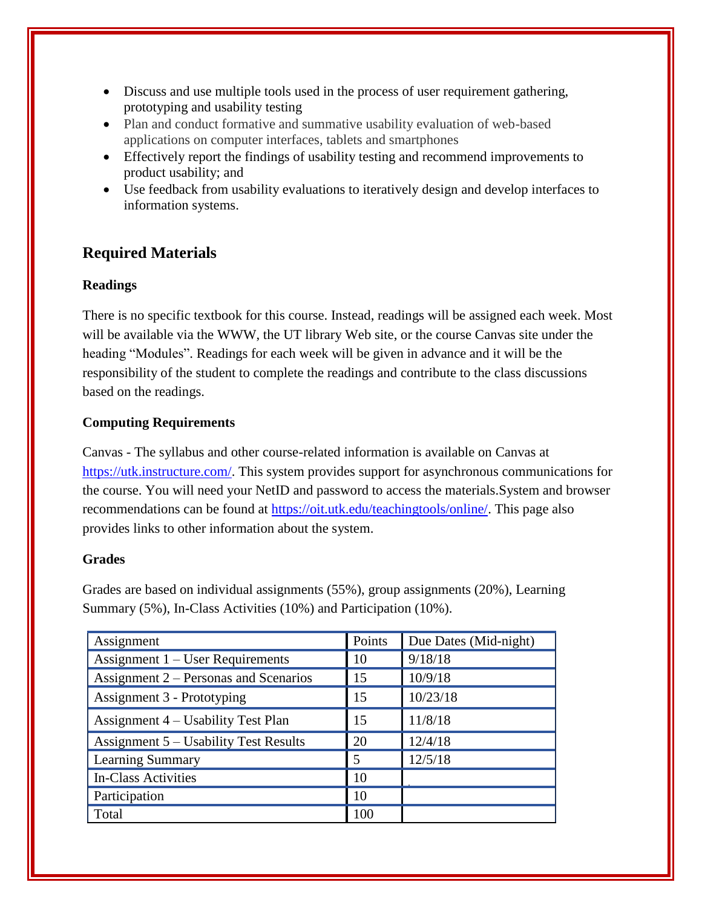- Discuss and use multiple tools used in the process of user requirement gathering, prototyping and usability testing
- Plan and conduct formative and summative usability evaluation of web-based applications on computer interfaces, tablets and smartphones
- Effectively report the findings of usability testing and recommend improvements to product usability; and
- Use feedback from usability evaluations to iteratively design and develop interfaces to information systems.

## **Required Materials**

### **Readings**

There is no specific textbook for this course. Instead, readings will be assigned each week. Most will be available via the WWW, the UT library Web site, or the course Canvas site under the heading "Modules". Readings for each week will be given in advance and it will be the responsibility of the student to complete the readings and contribute to the class discussions based on the readings.

## **Computing Requirements**

Canvas - The syllabus and other course-related information is available on Canvas at [https://utk.instructure.com/.](https://utk.instructure.com/) This system provides support for asynchronous communications for the course. You will need your NetID and password to access the materials.System and browser recommendations can be found at [https://oit.utk.edu/teachingtools/online/.](https://oit.utk.edu/teachingtools/online/) This page also provides links to other information about the system.

### **Grades**

Grades are based on individual assignments (55%), group assignments (20%), Learning Summary (5%), In-Class Activities (10%) and Participation (10%).

| Assignment                            | Points         | Due Dates (Mid-night) |
|---------------------------------------|----------------|-----------------------|
| Assignment $1 -$ User Requirements    | -10            | 9/18/18               |
| Assignment 2 – Personas and Scenarios | 15             | 10/9/18               |
| Assignment 3 - Prototyping            | 15             | 10/23/18              |
| Assignment 4 – Usability Test Plan    | 15             | 11/8/18               |
| Assignment 5 – Usability Test Results | 20             | 12/4/18               |
| <b>Learning Summary</b>               | $\overline{5}$ | 12/5/18               |
| <b>In-Class Activities</b>            | <sup>10</sup>  |                       |
| Participation                         | <sup>10</sup>  |                       |
| Total                                 | 100            |                       |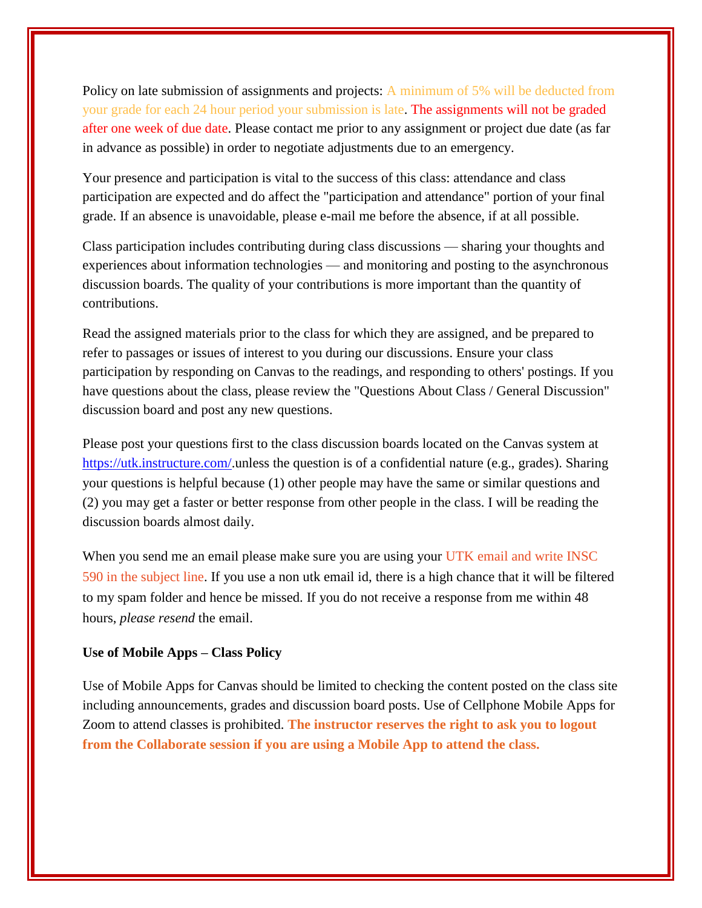Policy on late submission of assignments and projects: A minimum of 5% will be deducted from your grade for each 24 hour period your submission is late. The assignments will not be graded after one week of due date. Please contact me prior to any assignment or project due date (as far in advance as possible) in order to negotiate adjustments due to an emergency.

Your presence and participation is vital to the success of this class: attendance and class participation are expected and do affect the "participation and attendance" portion of your final grade. If an absence is unavoidable, please e-mail me before the absence, if at all possible.

Class participation includes contributing during class discussions — sharing your thoughts and experiences about information technologies — and monitoring and posting to the asynchronous discussion boards. The quality of your contributions is more important than the quantity of contributions.

Read the assigned materials prior to the class for which they are assigned, and be prepared to refer to passages or issues of interest to you during our discussions. Ensure your class participation by responding on Canvas to the readings, and responding to others' postings. If you have questions about the class, please review the "Questions About Class / General Discussion" discussion board and post any new questions.

Please post your questions first to the class discussion boards located on the Canvas system at [https://utk.instructure.com/.](https://utk.instructure.com/)unless the question is of a confidential nature (e.g., grades). Sharing your questions is helpful because (1) other people may have the same or similar questions and (2) you may get a faster or better response from other people in the class. I will be reading the discussion boards almost daily.

When you send me an email please make sure you are using your UTK email and write INSC 590 in the subject line. If you use a non utk email id, there is a high chance that it will be filtered to my spam folder and hence be missed. If you do not receive a response from me within 48 hours, *please resend* the email.

#### **Use of Mobile Apps – Class Policy**

Use of Mobile Apps for Canvas should be limited to checking the content posted on the class site including announcements, grades and discussion board posts. Use of Cellphone Mobile Apps for Zoom to attend classes is prohibited. **The instructor reserves the right to ask you to logout from the Collaborate session if you are using a Mobile App to attend the class.**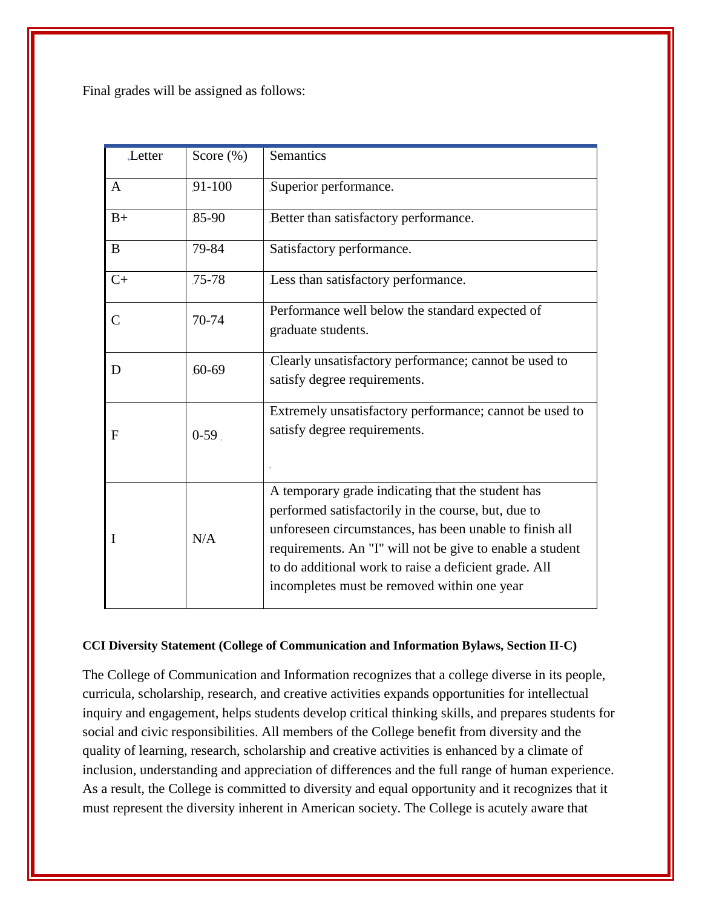Final grades will be assigned as follows:

| Letter        | Score $(\%)$ | <b>Semantics</b>                                                                                                                                                                                                                                                                                                                         |
|---------------|--------------|------------------------------------------------------------------------------------------------------------------------------------------------------------------------------------------------------------------------------------------------------------------------------------------------------------------------------------------|
| $\mathsf{A}$  | 91-100       | Superior performance.                                                                                                                                                                                                                                                                                                                    |
| $B+$          | $85-90$      | Better than satisfactory performance.                                                                                                                                                                                                                                                                                                    |
| B             | 79-84        | Satisfactory performance.                                                                                                                                                                                                                                                                                                                |
| $C+$          | $75 - 78$    | Less than satisfactory performance.                                                                                                                                                                                                                                                                                                      |
| $\mathcal{C}$ | 70-74        | Performance well below the standard expected of<br>graduate students.                                                                                                                                                                                                                                                                    |
| D             | $60 - 69$    | Clearly unsatisfactory performance; cannot be used to<br>satisfy degree requirements.                                                                                                                                                                                                                                                    |
| F             | $0-59$ .     | Extremely unsatisfactory performance; cannot be used to<br>satisfy degree requirements.                                                                                                                                                                                                                                                  |
|               | N/A          | A temporary grade indicating that the student has<br>performed satisfactorily in the course, but, due to<br>unforeseen circumstances, has been unable to finish all<br>requirements. An "I" will not be give to enable a student<br>to do additional work to raise a deficient grade. All<br>incompletes must be removed within one year |

#### **CCI Diversity Statement (College of Communication and Information Bylaws, Section II-C)**

The College of Communication and Information recognizes that a college diverse in its people, curricula, scholarship, research, and creative activities expands opportunities for intellectual inquiry and engagement, helps students develop critical thinking skills, and prepares students for social and civic responsibilities. All members of the College benefit from diversity and the quality of learning, research, scholarship and creative activities is enhanced by a climate of inclusion, understanding and appreciation of differences and the full range of human experience. As a result, the College is committed to diversity and equal opportunity and it recognizes that it must represent the diversity inherent in American society. The College is acutely aware that